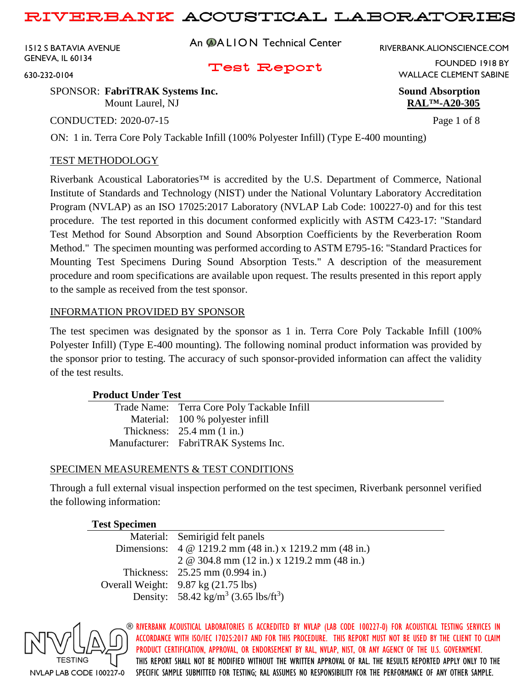1512 S BATAVIA AVENUE GENEVA, IL 60134

An **@ALION** Technical Center

RIVERBANK.ALIONSCIENCE.COM

### Test Report

WALLACE CLEMENT SABINE

FOUNDED 1918 BY

630-232-0104

#### SPONSOR: **FabriTRAK Systems Inc. Sound Absorption** Mount Laurel, NJ **RAL™-A20-305**

CONDUCTED: 2020-07-15 Page 1 of 8

ON: 1 in. Terra Core Poly Tackable Infill (100% Polyester Infill) (Type E-400 mounting)

### TEST METHODOLOGY

Riverbank Acoustical Laboratories™ is accredited by the U.S. Department of Commerce, National Institute of Standards and Technology (NIST) under the National Voluntary Laboratory Accreditation Program (NVLAP) as an ISO 17025:2017 Laboratory (NVLAP Lab Code: 100227-0) and for this test procedure. The test reported in this document conformed explicitly with ASTM C423-17: "Standard Test Method for Sound Absorption and Sound Absorption Coefficients by the Reverberation Room Method." The specimen mounting was performed according to ASTM E795-16: "Standard Practices for Mounting Test Specimens During Sound Absorption Tests." A description of the measurement procedure and room specifications are available upon request. The results presented in this report apply to the sample as received from the test sponsor.

#### INFORMATION PROVIDED BY SPONSOR

The test specimen was designated by the sponsor as 1 in. Terra Core Poly Tackable Infill (100% Polyester Infill) (Type E-400 mounting). The following nominal product information was provided by the sponsor prior to testing. The accuracy of such sponsor-provided information can affect the validity of the test results.

### **Product Under Test**

| Trade Name: Terra Core Poly Tackable Infill |
|---------------------------------------------|
| Material: 100 % polyester infill            |
| Thickness: $25.4$ mm $(1 \text{ in.})$      |
| Manufacturer: FabriTRAK Systems Inc.        |

### SPECIMEN MEASUREMENTS & TEST CONDITIONS

Through a full external visual inspection performed on the test specimen, Riverbank personnel verified the following information:

# **Test Specimen**

| Material: Semirigid felt panels                              |
|--------------------------------------------------------------|
| Dimensions: 4 @ 1219.2 mm (48 in.) x 1219.2 mm (48 in.)      |
| 2 @ 304.8 mm (12 in.) x 1219.2 mm (48 in.)                   |
| Thickness: 25.25 mm (0.994 in.)                              |
| Overall Weight: $9.87 \text{ kg} (21.75 \text{ lbs})$        |
| Density: 58.42 kg/m <sup>3</sup> (3.65 lbs/ft <sup>3</sup> ) |

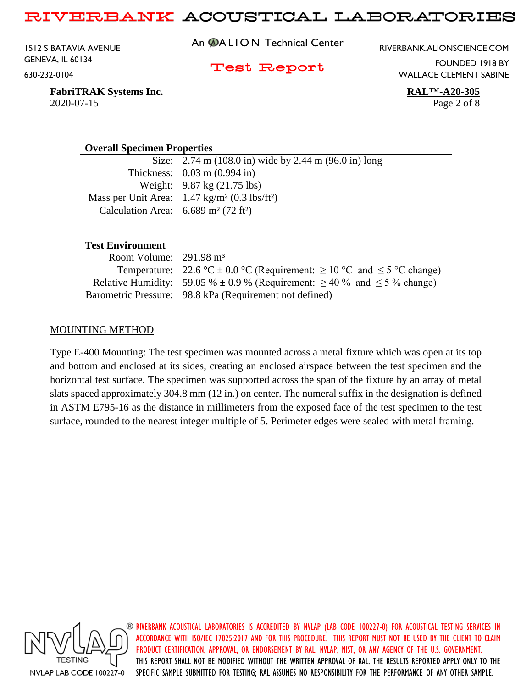1512 S BATAVIA AVENUE GENEVA, IL 60134 630-232-0104

An **@ALION** Technical Center

RIVERBANK.ALIONSCIENCE.COM

Test Report

FOUNDED 1918 BY WALLACE CLEMENT SABINE

**FabriTRAK Systems Inc. RAL™-A20-305** 2020-07-15 Page 2 of 8

#### **Overall Specimen Properties**

Size: 2.74 m (108.0 in) wide by 2.44 m (96.0 in) long Thickness: 0.03 m (0.994 in) Weight: 9.87 kg (21.75 lbs) Mass per Unit Area: 1.47 kg/m<sup>2</sup> (0.3 lbs/ft<sup>2</sup>) Calculation Area:  $6.689 \text{ m}^2 (72 \text{ ft}^2)$ 

#### **Test Environment**

| Room Volume: $291.98 \text{ m}^3$ |                                                                                         |
|-----------------------------------|-----------------------------------------------------------------------------------------|
|                                   | Temperature: 22.6 °C $\pm$ 0.0 °C (Requirement: $\geq$ 10 °C and $\leq$ 5 °C change)    |
|                                   | Relative Humidity: 59.05 % $\pm$ 0.9 % (Requirement: $\geq$ 40 % and $\leq$ 5 % change) |
|                                   | Barometric Pressure: 98.8 kPa (Requirement not defined)                                 |

#### MOUNTING METHOD

Type E-400 Mounting: The test specimen was mounted across a metal fixture which was open at its top and bottom and enclosed at its sides, creating an enclosed airspace between the test specimen and the horizontal test surface. The specimen was supported across the span of the fixture by an array of metal slats spaced approximately 304.8 mm (12 in.) on center. The numeral suffix in the designation is defined in ASTM E795-16 as the distance in millimeters from the exposed face of the test specimen to the test surface, rounded to the nearest integer multiple of 5. Perimeter edges were sealed with metal framing.

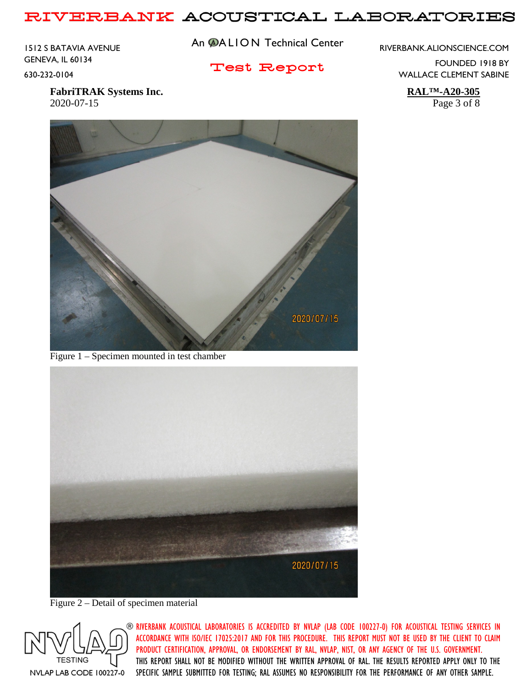1512 S BATAVIA AVENUE GENEVA, IL 60134 630-232-0104

An **@ALION** Technical Center

Test Report

RIVERBANK.ALIONSCIENCE.COM

FOUNDED 1918 BY WALLACE CLEMENT SABINE

**FabriTRAK Systems Inc. RAL™-A20-305** 2020-07-15 Page 3 of 8



Figure 1 – Specimen mounted in test chamber



Figure 2 – Detail of specimen material

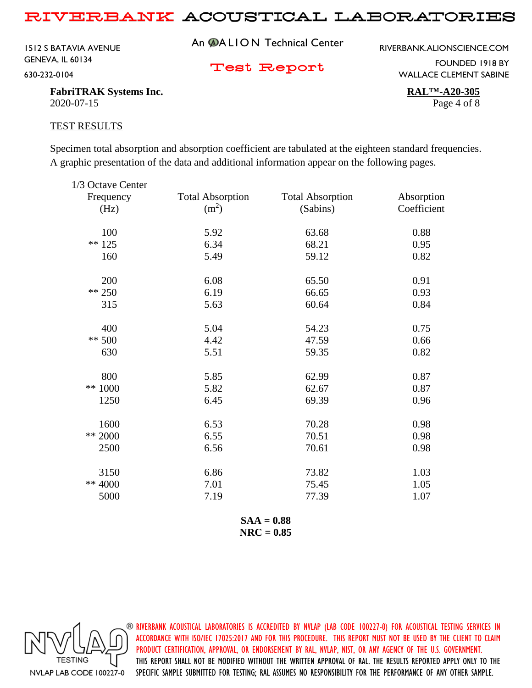1512 S BATAVIA AVENUE GENEVA, IL 60134 630-232-0104

An **@ALION** Technical Center

RIVERBANK.ALIONSCIENCE.COM

Test Report

FOUNDED 1918 BY WALLACE CLEMENT SABINE

**FabriTRAK Systems Inc. RAL™-A20-305** 2020-07-15 Page 4 of 8

#### TEST RESULTS

Specimen total absorption and absorption coefficient are tabulated at the eighteen standard frequencies. A graphic presentation of the data and additional information appear on the following pages.

| 1/3 Octave Center |                         |                         |             |
|-------------------|-------------------------|-------------------------|-------------|
| Frequency         | <b>Total Absorption</b> | <b>Total Absorption</b> | Absorption  |
| (Hz)              | (m <sup>2</sup> )       | (Sabins)                | Coefficient |
| 100               | 5.92                    | 63.68                   | 0.88        |
| $** 125$          | 6.34                    | 68.21                   | 0.95        |
| 160               | 5.49                    | 59.12                   | 0.82        |
| 200               | 6.08                    | 65.50                   | 0.91        |
| $** 250$          | 6.19                    | 66.65                   | 0.93        |
| 315               | 5.63                    | 60.64                   | 0.84        |
| 400               | 5.04                    | 54.23                   | 0.75        |
| $** 500$          | 4.42                    | 47.59                   | 0.66        |
| 630               | 5.51                    | 59.35                   | 0.82        |
| 800               | 5.85                    | 62.99                   | 0.87        |
| ** 1000           | 5.82                    | 62.67                   | 0.87        |
| 1250              | 6.45                    | 69.39                   | 0.96        |
| 1600              | 6.53                    | 70.28                   | 0.98        |
| ** 2000           | 6.55                    | 70.51                   | 0.98        |
| 2500              | 6.56                    | 70.61                   | 0.98        |
| 3150              | 6.86                    | 73.82                   | 1.03        |
| ** 4000           | 7.01                    | 75.45                   | 1.05        |
| 5000              | 7.19                    | 77.39                   | 1.07        |
|                   |                         |                         |             |

**SAA = 0.88 NRC = 0.85**

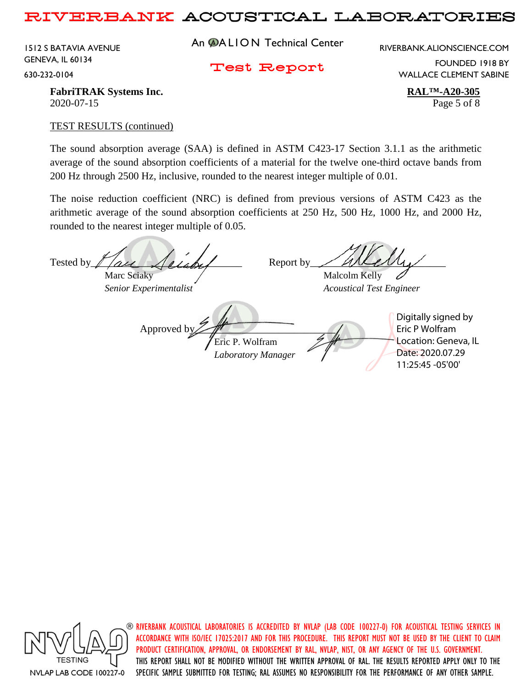1512 S BATAVIA AVENUE GENEVA, IL 60134 630-232-0104

An **@ALION** Technical Center

RIVERBANK.ALIONSCIENCE.COM

Test Report

FOUNDED 1918 BY WALLACE CLEMENT SABINE

**FabriTRAK** Systems Inc. **RALTM-A20-305** 2020-07-15 Page 5 of 8

#### TEST RESULTS (continued)

The sound absorption average (SAA) is defined in ASTM C423-17 Section 3.1.1 as the arithmetic average of the sound absorption coefficients of a material for the twelve one-third octave bands from 200 Hz through 2500 Hz, inclusive, rounded to the nearest integer multiple of 0.01.

The noise reduction coefficient (NRC) is defined from previous versions of ASTM C423 as the arithmetic average of the sound absorption coefficients at 250 Hz, 500 Hz, 1000 Hz, and 2000 Hz, rounded to the nearest integer multiple of 0.05.

Tested by  $\ell$  are  $\ell$  and  $\ell$  Report by Marc Sciaky  $\sqrt{M}$  Malcolm Kelly *Senior Experimentalist Acoustical Test Engineer* Approved b Eric P. Wolfram *Laboratory Manager* Digitally signed by Eric P Wolfram Location: Geneva, IL Date: 2020.07.29 11:25:45 -05'00'



 $\circledast$  riverbank acoustical laboratories is accredited by nylap (lab code 100227-0) for acoustical testing services in ACCORDANCE WITH ISO/IEC 17025:2017 AND FOR THIS PROCEDURE. THIS REPORT MUST NOT BE USED BY THE CLIENT TO CLAIM PRODUCT CERTIFICATION, APPROVAL, OR ENDORSEMENT BY RAL, NVLAP, NIST, OR ANY AGENCY OF THE U.S. GOVERNMENT. THIS REPORT SHALL NOT BE MODIFIED WITHOUT THE WRITTEN APPROVAL OF RAL. THE RESULTS REPORTED APPLY ONLY TO THE SPECIFIC SAMPLE SUBMITTED FOR TESTING; RAL ASSUMES NO RESPONSIBILITY FOR THE PERFORMANCE OF ANY OTHER SAMPLE.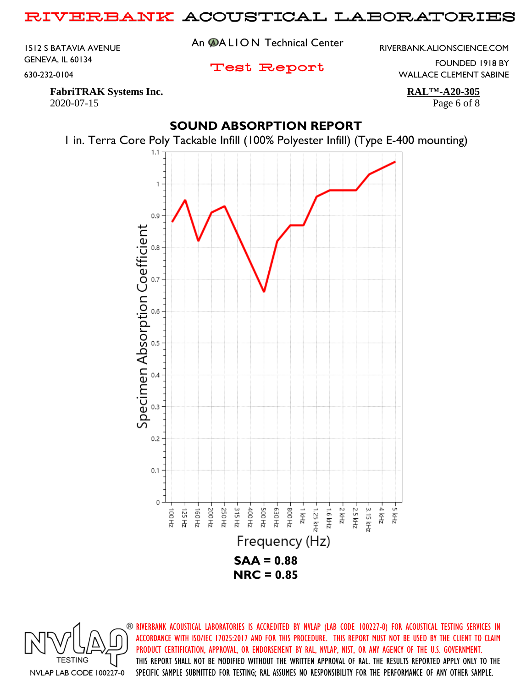1512 S BATAVIA AVENUE GENEVA, IL 60134 630-232-0104

An **@ALION** Technical Center

RIVERBANK.ALIONSCIENCE.COM

Test Report

FOUNDED 1918 BY WALLACE CLEMENT SABINE

**FabriTRAK Systems Inc. RAL™-A20-305** 2020-07-15 Page 6 of 8

## **SOUND ABSORPTION REPORT**

1 in. Terra Core Poly Tackable Infill (100% Polyester Infill) (Type E-400 mounting)

1  $0.9$ Specimen Absorption Coefficient  $0.8$ 0.6  $0.5$ 0.4  $0.3$  $0.2$  $0.1$ 0 ZHN 2-가 하다 ZHN 5-ZH 005 E30 Hz ZH 008-2.5 kHz 200 Hz 250 Hz 315 Hz  $2+2$ 1.25 kHz 3.15 kHz 125 Hz ZH 091 400 Hz 1.6 kHz ZH 001 Frequency (Hz) **SAA = 0.88 NRC = 0.85**

**TESTING** NVLAP LAB CODE 100227-0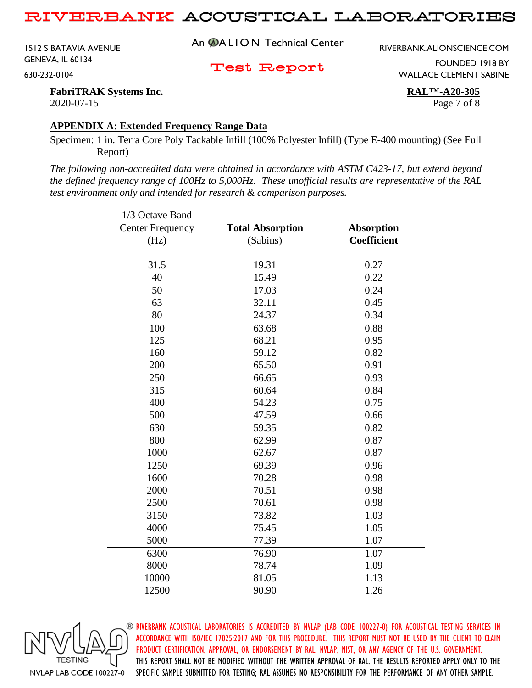1512 S BATAVIA AVENUE GENEVA, IL 60134 630-232-0104

An **@ALION** Technical Center

RIVERBANK.ALIONSCIENCE.COM

Test Report

FOUNDED 1918 BY WALLACE CLEMENT SABINE

**FabriTRAK Systems Inc. RAL™-A20-305** 2020-07-15 Page 7 of 8

#### **APPENDIX A: Extended Frequency Range Data**

Specimen: 1 in. Terra Core Poly Tackable Infill (100% Polyester Infill) (Type E-400 mounting) (See Full Report)

*The following non-accredited data were obtained in accordance with ASTM C423-17, but extend beyond the defined frequency range of 100Hz to 5,000Hz. These unofficial results are representative of the RAL test environment only and intended for research & comparison purposes.* 

| 1/3 Octave Band         |                         |                    |
|-------------------------|-------------------------|--------------------|
| <b>Center Frequency</b> | <b>Total Absorption</b> | <b>Absorption</b>  |
| (Hz)                    | (Sabins)                | <b>Coefficient</b> |
|                         |                         |                    |
| 31.5                    | 19.31                   | 0.27               |
| 40                      | 15.49                   | 0.22               |
| 50                      | 17.03                   | 0.24               |
| 63                      | 32.11                   | 0.45               |
| 80                      | 24.37                   | 0.34               |
| 100                     | 63.68                   | 0.88               |
| 125                     | 68.21                   | 0.95               |
| 160                     | 59.12                   | 0.82               |
| 200                     | 65.50                   | 0.91               |
| 250                     | 66.65                   | 0.93               |
| 315                     | 60.64                   | 0.84               |
| 400                     | 54.23                   | 0.75               |
| 500                     | 47.59                   | 0.66               |
| 630                     | 59.35                   | 0.82               |
| 800                     | 62.99                   | 0.87               |
| 1000                    | 62.67                   | 0.87               |
| 1250                    | 69.39                   | 0.96               |
| 1600                    | 70.28                   | 0.98               |
| 2000                    | 70.51                   | 0.98               |
| 2500                    | 70.61                   | 0.98               |
| 3150                    | 73.82                   | 1.03               |
| 4000                    | 75.45                   | 1.05               |
| 5000                    | 77.39                   | 1.07               |
| 6300                    | 76.90                   | 1.07               |
| 8000                    | 78.74                   | 1.09               |
| 10000                   | 81.05                   | 1.13               |
| 12500                   | 90.90                   | 1.26               |